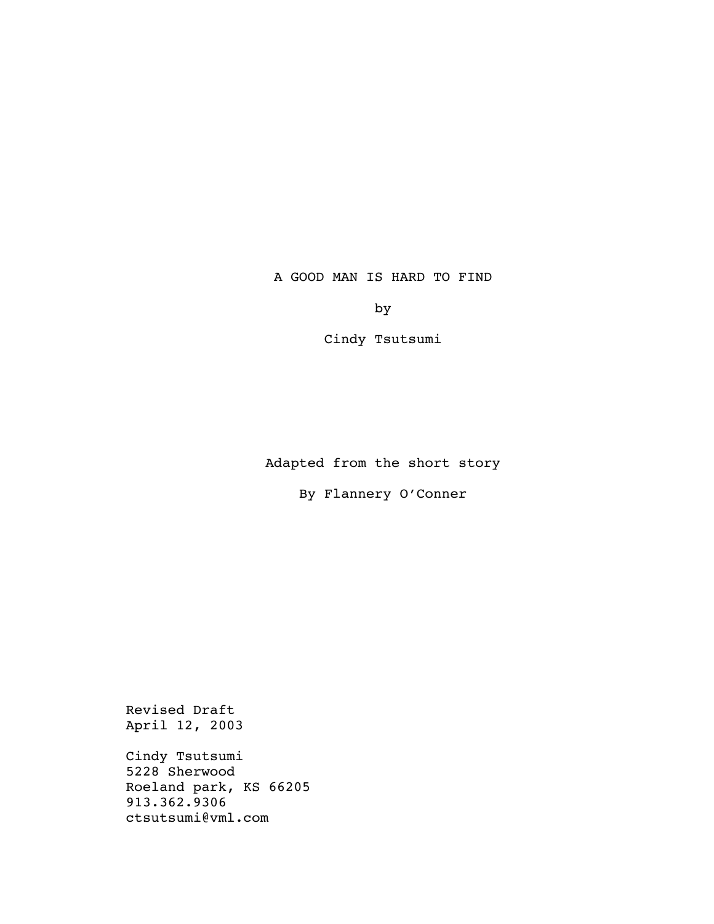A GOOD MAN IS HARD TO FIND

by

Cindy Tsutsumi

Adapted from the short story

By Flannery O'Conner

Revised Draft April 12, 2003

Cindy Tsutsumi 5228 Sherwood Roeland park, KS 66205 913.362.9306 ctsutsumi@vml.com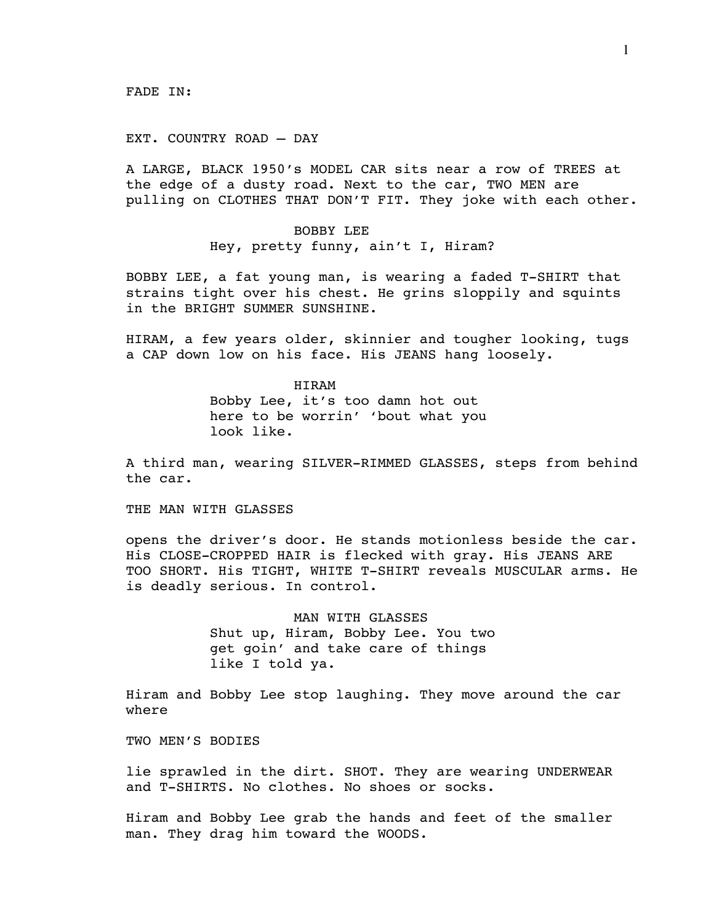#### EXT. COUNTRY ROAD – DAY

A LARGE, BLACK 1950's MODEL CAR sits near a row of TREES at the edge of a dusty road. Next to the car, TWO MEN are pulling on CLOTHES THAT DON'T FIT. They joke with each other.

> BOBBY LEE Hey, pretty funny, ain't I, Hiram?

BOBBY LEE, a fat young man, is wearing a faded T-SHIRT that strains tight over his chest. He grins sloppily and squints in the BRIGHT SUMMER SUNSHINE.

HIRAM, a few years older, skinnier and tougher looking, tugs a CAP down low on his face. His JEANS hang loosely.

> HIRAM Bobby Lee, it's too damn hot out here to be worrin' 'bout what you look like.

A third man, wearing SILVER-RIMMED GLASSES, steps from behind the car.

THE MAN WITH GLASSES

opens the driver's door. He stands motionless beside the car. His CLOSE-CROPPED HAIR is flecked with gray. His JEANS ARE TOO SHORT. His TIGHT, WHITE T-SHIRT reveals MUSCULAR arms. He is deadly serious. In control.

> MAN WITH GLASSES Shut up, Hiram, Bobby Lee. You two get goin' and take care of things like I told ya.

Hiram and Bobby Lee stop laughing. They move around the car where

TWO MEN'S BODIES

lie sprawled in the dirt. SHOT. They are wearing UNDERWEAR and T-SHIRTS. No clothes. No shoes or socks.

Hiram and Bobby Lee grab the hands and feet of the smaller man. They drag him toward the WOODS.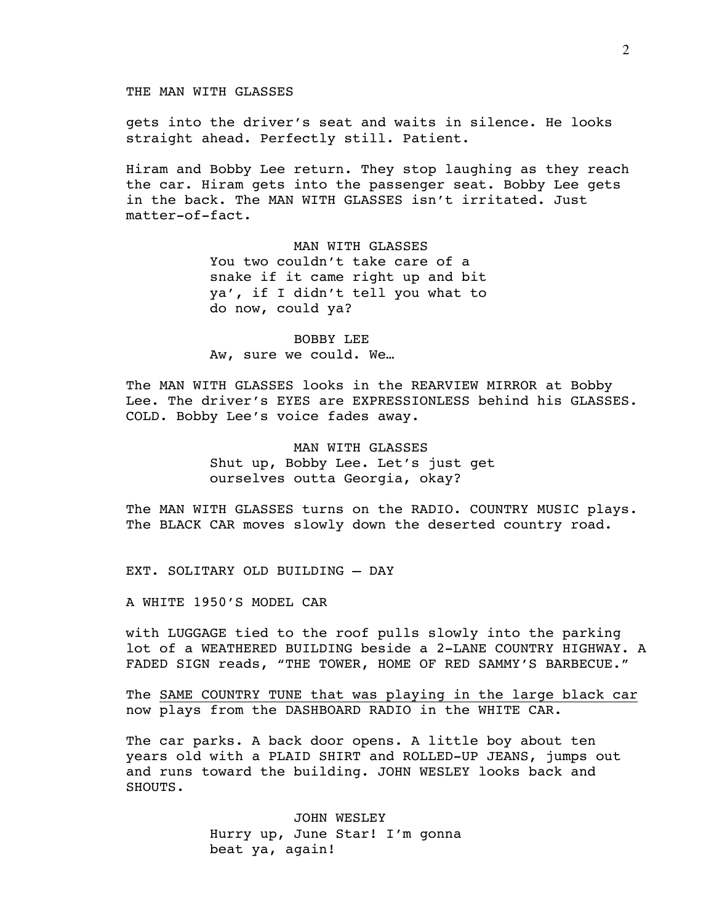THE MAN WITH GLASSES

gets into the driver's seat and waits in silence. He looks straight ahead. Perfectly still. Patient.

Hiram and Bobby Lee return. They stop laughing as they reach the car. Hiram gets into the passenger seat. Bobby Lee gets in the back. The MAN WITH GLASSES isn't irritated. Just matter-of-fact.

> MAN WITH GLASSES You two couldn't take care of a snake if it came right up and bit ya', if I didn't tell you what to do now, could ya?

 BOBBY LEE Aw, sure we could. We…

The MAN WITH GLASSES looks in the REARVIEW MIRROR at Bobby Lee. The driver's EYES are EXPRESSIONLESS behind his GLASSES. COLD. Bobby Lee's voice fades away.

> MAN WITH GLASSES Shut up, Bobby Lee. Let's just get ourselves outta Georgia, okay?

The MAN WITH GLASSES turns on the RADIO. COUNTRY MUSIC plays. The BLACK CAR moves slowly down the deserted country road.

EXT. SOLITARY OLD BUILDING – DAY

A WHITE 1950'S MODEL CAR

with LUGGAGE tied to the roof pulls slowly into the parking lot of a WEATHERED BUILDING beside a 2-LANE COUNTRY HIGHWAY. A FADED SIGN reads, "THE TOWER, HOME OF RED SAMMY'S BARBECUE."

The SAME COUNTRY TUNE that was playing in the large black car now plays from the DASHBOARD RADIO in the WHITE CAR.

The car parks. A back door opens. A little boy about ten years old with a PLAID SHIRT and ROLLED-UP JEANS, jumps out and runs toward the building. JOHN WESLEY looks back and SHOUTS.

> JOHN WESLEY Hurry up, June Star! I'm gonna beat ya, again!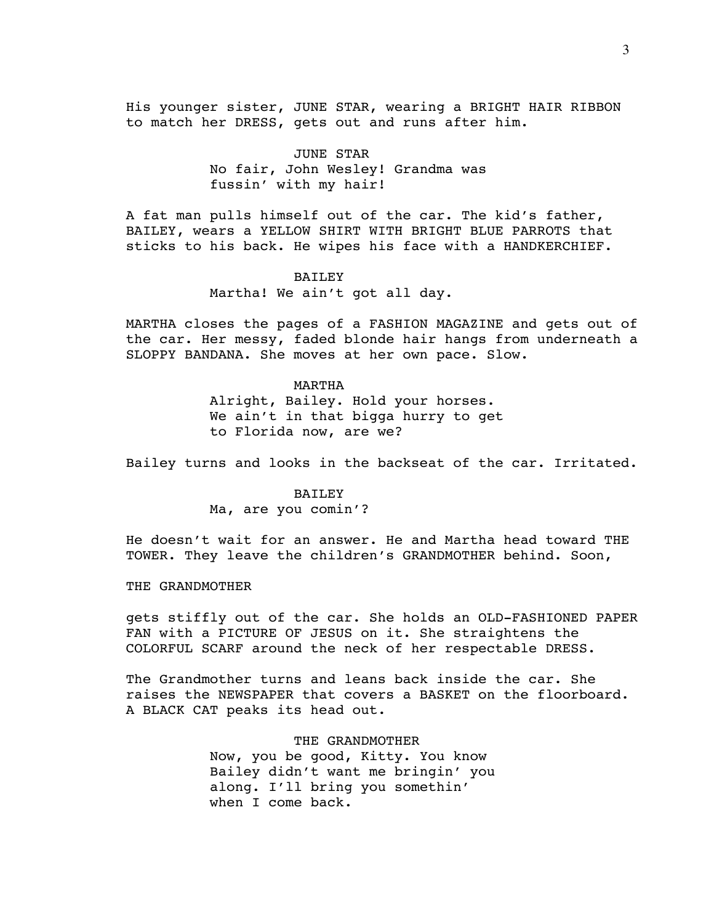His younger sister, JUNE STAR, wearing a BRIGHT HAIR RIBBON to match her DRESS, gets out and runs after him.

> JUNE STAR No fair, John Wesley! Grandma was fussin' with my hair!

A fat man pulls himself out of the car. The kid's father, BAILEY, wears a YELLOW SHIRT WITH BRIGHT BLUE PARROTS that sticks to his back. He wipes his face with a HANDKERCHIEF.

# BAILEY

Martha! We ain't got all day.

MARTHA closes the pages of a FASHION MAGAZINE and gets out of the car. Her messy, faded blonde hair hangs from underneath a SLOPPY BANDANA. She moves at her own pace. Slow.

# MARTHA Alright, Bailey. Hold your horses. We ain't in that bigga hurry to get to Florida now, are we?

Bailey turns and looks in the backseat of the car. Irritated.

# BAILEY Ma, are you comin'?

He doesn't wait for an answer. He and Martha head toward THE TOWER. They leave the children's GRANDMOTHER behind. Soon,

#### THE GRANDMOTHER

gets stiffly out of the car. She holds an OLD-FASHIONED PAPER FAN with a PICTURE OF JESUS on it. She straightens the COLORFUL SCARF around the neck of her respectable DRESS.

The Grandmother turns and leans back inside the car. She raises the NEWSPAPER that covers a BASKET on the floorboard. A BLACK CAT peaks its head out.

> THE GRANDMOTHER Now, you be good, Kitty. You know Bailey didn't want me bringin' you along. I'll bring you somethin' when I come back.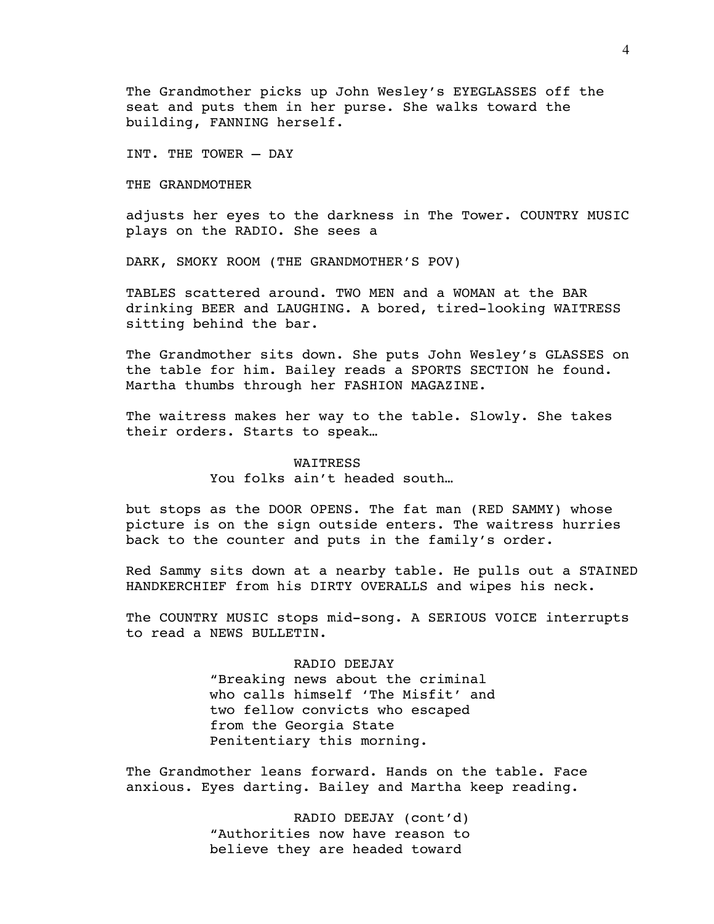The Grandmother picks up John Wesley's EYEGLASSES off the seat and puts them in her purse. She walks toward the building, FANNING herself.

INT. THE TOWER – DAY

THE GRANDMOTHER

adjusts her eyes to the darkness in The Tower. COUNTRY MUSIC plays on the RADIO. She sees a

DARK, SMOKY ROOM (THE GRANDMOTHER'S POV)

TABLES scattered around. TWO MEN and a WOMAN at the BAR drinking BEER and LAUGHING. A bored, tired-looking WAITRESS sitting behind the bar.

The Grandmother sits down. She puts John Wesley's GLASSES on the table for him. Bailey reads a SPORTS SECTION he found. Martha thumbs through her FASHION MAGAZINE.

The waitress makes her way to the table. Slowly. She takes their orders. Starts to speak…

> **WATTRESS** You folks ain't headed south...

but stops as the DOOR OPENS. The fat man (RED SAMMY) whose picture is on the sign outside enters. The waitress hurries back to the counter and puts in the family's order.

Red Sammy sits down at a nearby table. He pulls out a STAINED HANDKERCHIEF from his DIRTY OVERALLS and wipes his neck.

The COUNTRY MUSIC stops mid-song. A SERIOUS VOICE interrupts to read a NEWS BULLETIN.

> RADIO DEEJAY "Breaking news about the criminal who calls himself 'The Misfit' and two fellow convicts who escaped from the Georgia State Penitentiary this morning.

The Grandmother leans forward. Hands on the table. Face anxious. Eyes darting. Bailey and Martha keep reading.

> RADIO DEEJAY (cont'd) "Authorities now have reason to believe they are headed toward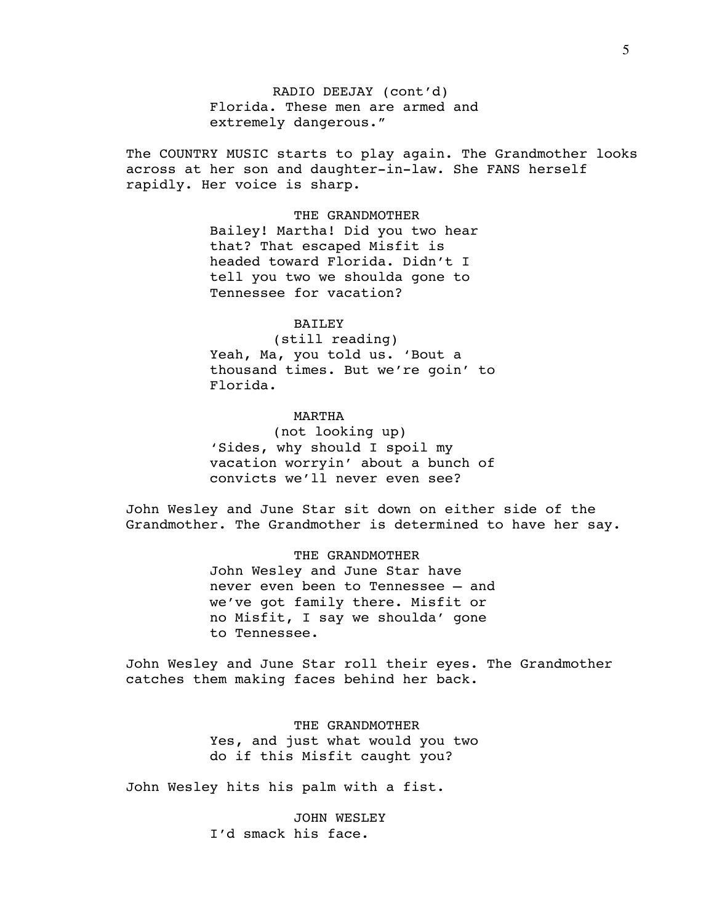RADIO DEEJAY (cont'd) Florida. These men are armed and extremely dangerous."

The COUNTRY MUSIC starts to play again. The Grandmother looks across at her son and daughter-in-law. She FANS herself rapidly. Her voice is sharp.

> THE GRANDMOTHER Bailey! Martha! Did you two hear that? That escaped Misfit is headed toward Florida. Didn't I tell you two we shoulda gone to Tennessee for vacation?

# BAILEY

 (still reading) Yeah, Ma, you told us. 'Bout a thousand times. But we're goin' to Florida.

# MARTHA

 (not looking up) 'Sides, why should I spoil my vacation worryin' about a bunch of convicts we'll never even see?

John Wesley and June Star sit down on either side of the Grandmother. The Grandmother is determined to have her say.

> THE GRANDMOTHER John Wesley and June Star have never even been to Tennessee – and we've got family there. Misfit or no Misfit, I say we shoulda' gone to Tennessee.

John Wesley and June Star roll their eyes. The Grandmother catches them making faces behind her back.

> THE GRANDMOTHER Yes, and just what would you two do if this Misfit caught you?

John Wesley hits his palm with a fist.

 JOHN WESLEY I'd smack his face.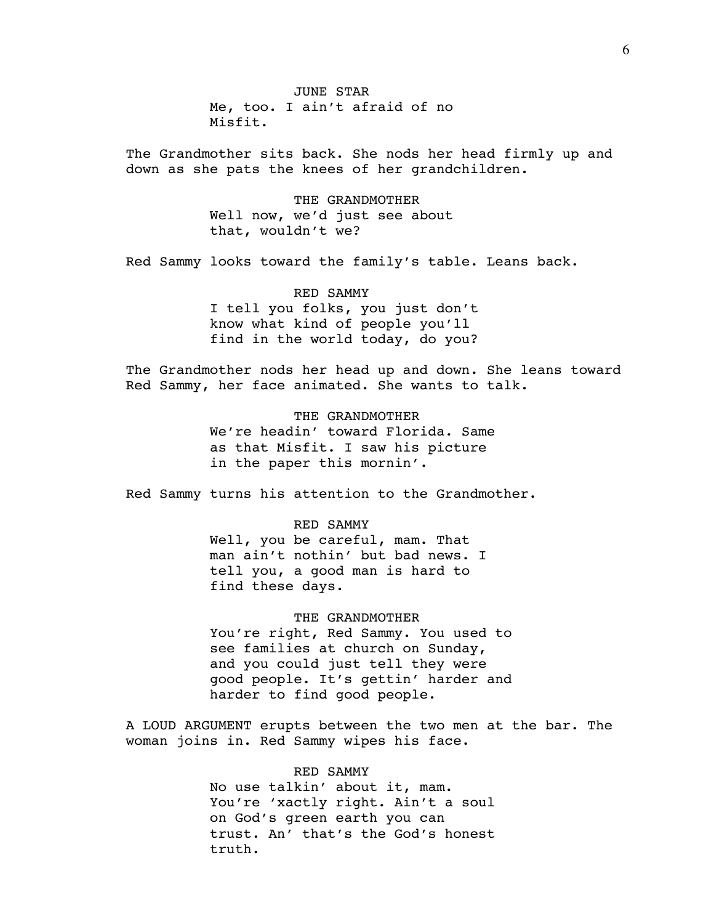JUNE STAR Me, too. I ain't afraid of no Misfit.

The Grandmother sits back. She nods her head firmly up and down as she pats the knees of her grandchildren.

> THE GRANDMOTHER Well now, we'd just see about that, wouldn't we?

Red Sammy looks toward the family's table. Leans back.

 RED SAMMY I tell you folks, you just don't know what kind of people you'll find in the world today, do you?

The Grandmother nods her head up and down. She leans toward Red Sammy, her face animated. She wants to talk.

> THE GRANDMOTHER We're headin' toward Florida. Same as that Misfit. I saw his picture in the paper this mornin'.

Red Sammy turns his attention to the Grandmother.

 RED SAMMY Well, you be careful, mam. That man ain't nothin' but bad news. I tell you, a good man is hard to find these days.

 THE GRANDMOTHER You're right, Red Sammy. You used to see families at church on Sunday, and you could just tell they were good people. It's gettin' harder and harder to find good people.

A LOUD ARGUMENT erupts between the two men at the bar. The woman joins in. Red Sammy wipes his face.

> RED SAMMY No use talkin' about it, mam. You're 'xactly right. Ain't a soul on God's green earth you can trust. An' that's the God's honest truth.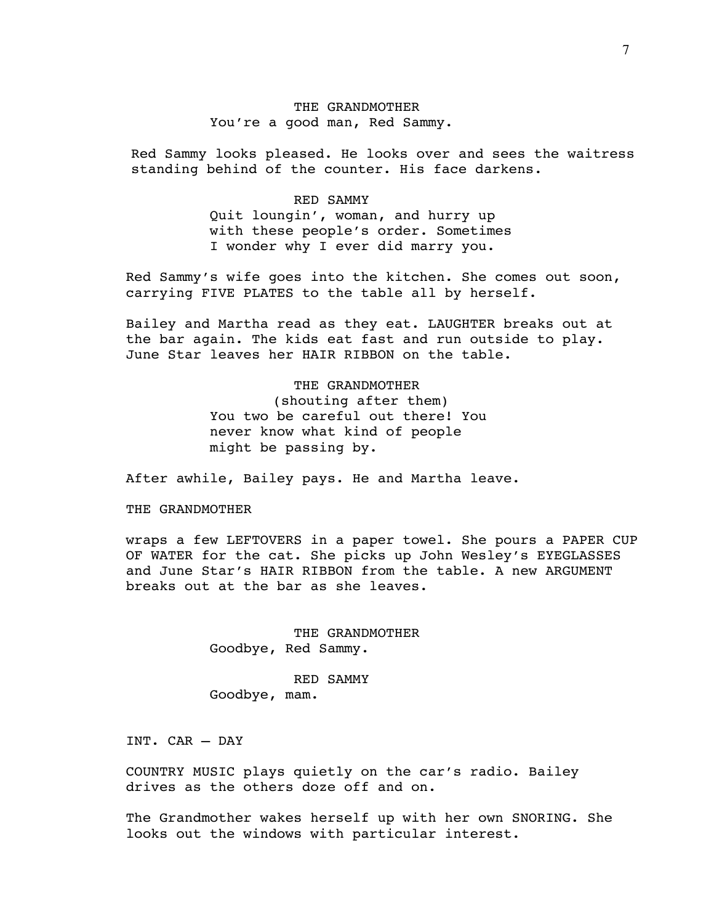# THE GRANDMOTHER You're a good man, Red Sammy.

Red Sammy looks pleased. He looks over and sees the waitress standing behind of the counter. His face darkens.

#### RED SAMMY

Quit loungin', woman, and hurry up with these people's order. Sometimes I wonder why I ever did marry you.

Red Sammy's wife goes into the kitchen. She comes out soon, carrying FIVE PLATES to the table all by herself.

Bailey and Martha read as they eat. LAUGHTER breaks out at the bar again. The kids eat fast and run outside to play. June Star leaves her HAIR RIBBON on the table.

## THE GRANDMOTHER

 (shouting after them) You two be careful out there! You never know what kind of people might be passing by.

After awhile, Bailey pays. He and Martha leave.

# THE GRANDMOTHER

wraps a few LEFTOVERS in a paper towel. She pours a PAPER CUP OF WATER for the cat. She picks up John Wesley's EYEGLASSES and June Star's HAIR RIBBON from the table. A new ARGUMENT breaks out at the bar as she leaves.

> THE GRANDMOTHER Goodbye, Red Sammy.

 RED SAMMY Goodbye, mam.

INT. CAR – DAY

COUNTRY MUSIC plays quietly on the car's radio. Bailey drives as the others doze off and on.

The Grandmother wakes herself up with her own SNORING. She looks out the windows with particular interest.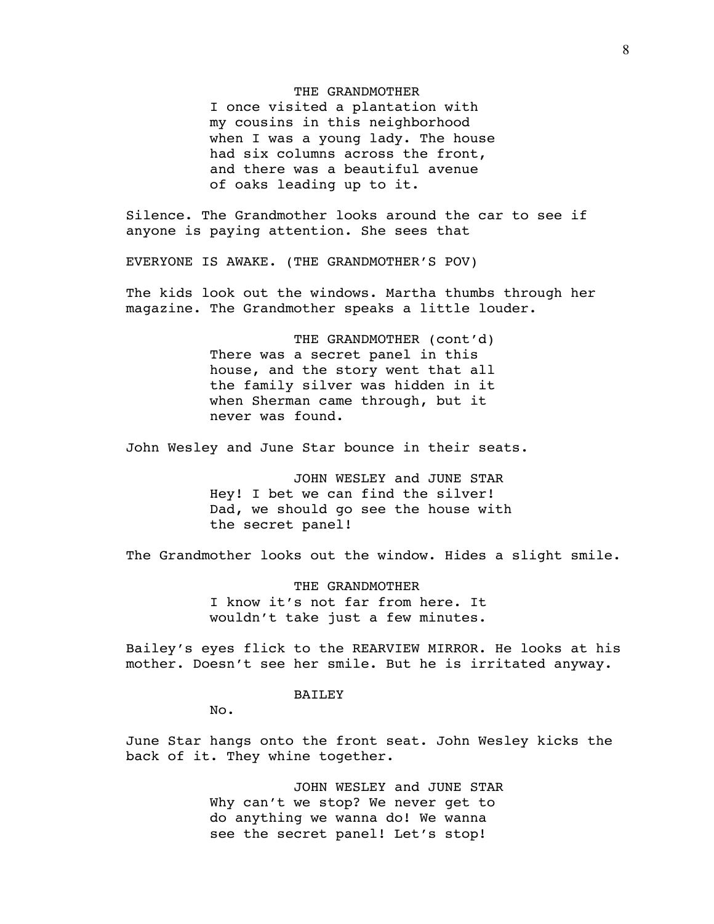#### THE GRANDMOTHER

I once visited a plantation with my cousins in this neighborhood when I was a young lady. The house had six columns across the front, and there was a beautiful avenue of oaks leading up to it.

Silence. The Grandmother looks around the car to see if anyone is paying attention. She sees that

EVERYONE IS AWAKE. (THE GRANDMOTHER'S POV)

The kids look out the windows. Martha thumbs through her magazine. The Grandmother speaks a little louder.

> THE GRANDMOTHER (cont'd) There was a secret panel in this house, and the story went that all the family silver was hidden in it when Sherman came through, but it never was found.

John Wesley and June Star bounce in their seats.

 JOHN WESLEY and JUNE STAR Hey! I bet we can find the silver! Dad, we should go see the house with the secret panel!

The Grandmother looks out the window. Hides a slight smile.

 THE GRANDMOTHER I know it's not far from here. It wouldn't take just a few minutes.

Bailey's eyes flick to the REARVIEW MIRROR. He looks at his mother. Doesn't see her smile. But he is irritated anyway.

## BAILEY

No.

June Star hangs onto the front seat. John Wesley kicks the back of it. They whine together.

> JOHN WESLEY and JUNE STAR Why can't we stop? We never get to do anything we wanna do! We wanna see the secret panel! Let's stop!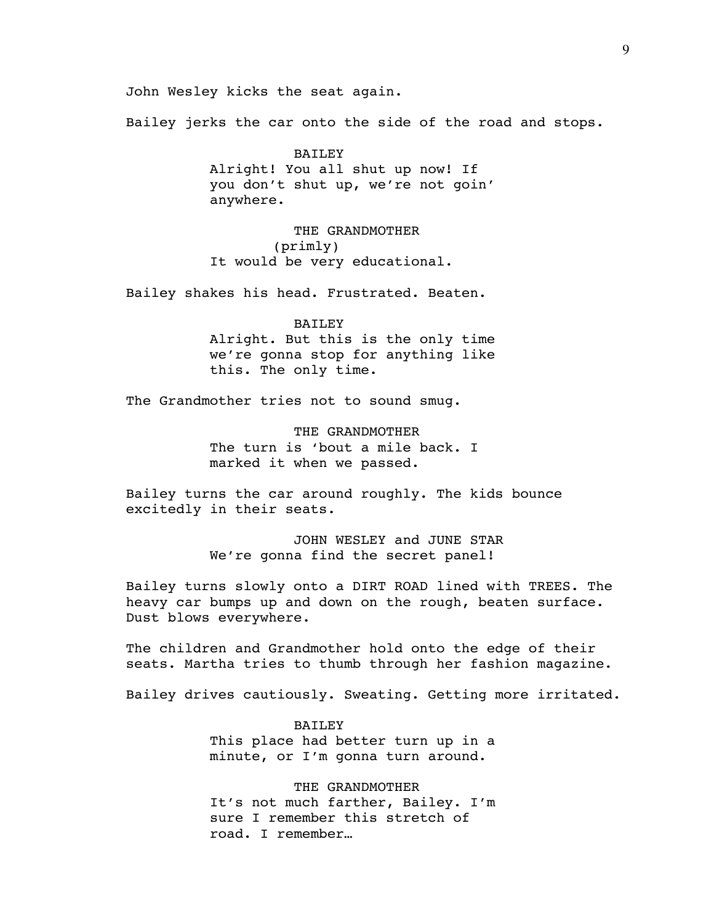John Wesley kicks the seat again.

Bailey jerks the car onto the side of the road and stops.

## BAILEY

Alright! You all shut up now! If you don't shut up, we're not goin' anywhere.

 THE GRANDMOTHER (primly) It would be very educational.

Bailey shakes his head. Frustrated. Beaten.

#### BAILEY

Alright. But this is the only time we're gonna stop for anything like this. The only time.

The Grandmother tries not to sound smug.

 THE GRANDMOTHER The turn is 'bout a mile back. I marked it when we passed.

Bailey turns the car around roughly. The kids bounce excitedly in their seats.

> JOHN WESLEY and JUNE STAR We're gonna find the secret panel!

Bailey turns slowly onto a DIRT ROAD lined with TREES. The heavy car bumps up and down on the rough, beaten surface. Dust blows everywhere.

The children and Grandmother hold onto the edge of their seats. Martha tries to thumb through her fashion magazine.

Bailey drives cautiously. Sweating. Getting more irritated.

 BAILEY This place had better turn up in a minute, or I'm gonna turn around.

 THE GRANDMOTHER It's not much farther, Bailey. I'm sure I remember this stretch of road. I remember…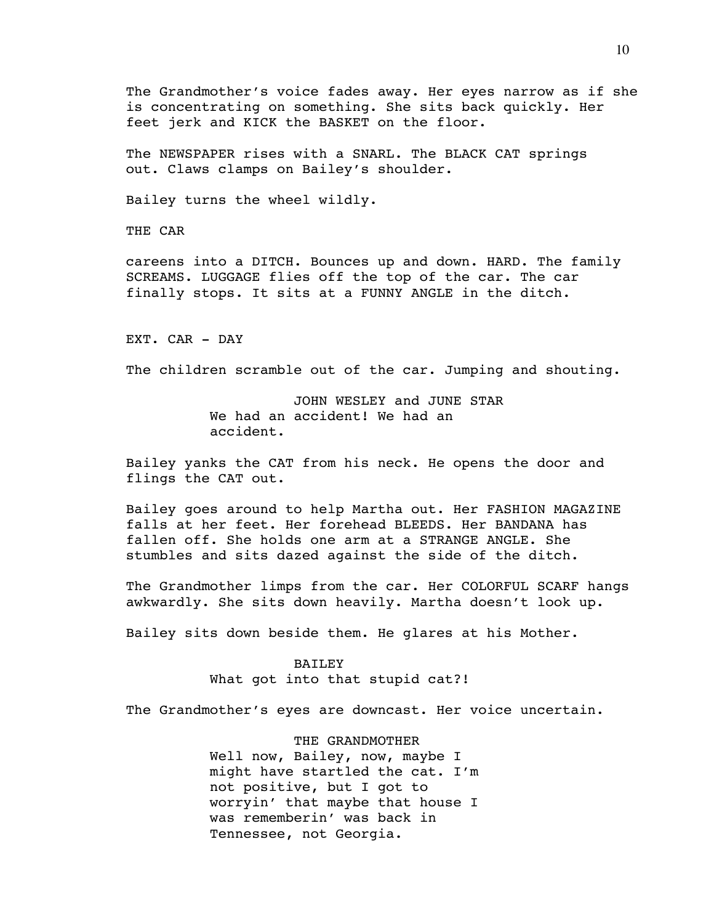The Grandmother's voice fades away. Her eyes narrow as if she is concentrating on something. She sits back quickly. Her feet jerk and KICK the BASKET on the floor.

The NEWSPAPER rises with a SNARL. The BLACK CAT springs out. Claws clamps on Bailey's shoulder.

Bailey turns the wheel wildly.

THE CAR

careens into a DITCH. Bounces up and down. HARD. The family SCREAMS. LUGGAGE flies off the top of the car. The car finally stops. It sits at a FUNNY ANGLE in the ditch.

EXT. CAR - DAY

The children scramble out of the car. Jumping and shouting.

 JOHN WESLEY and JUNE STAR We had an accident! We had an accident.

Bailey yanks the CAT from his neck. He opens the door and flings the CAT out.

Bailey goes around to help Martha out. Her FASHION MAGAZINE falls at her feet. Her forehead BLEEDS. Her BANDANA has fallen off. She holds one arm at a STRANGE ANGLE. She stumbles and sits dazed against the side of the ditch.

The Grandmother limps from the car. Her COLORFUL SCARF hangs awkwardly. She sits down heavily. Martha doesn't look up.

Bailey sits down beside them. He glares at his Mother.

## **BAILEY**

What got into that stupid cat?!

The Grandmother's eyes are downcast. Her voice uncertain.

 THE GRANDMOTHER Well now, Bailey, now, maybe I might have startled the cat. I'm not positive, but I got to worryin' that maybe that house I was rememberin' was back in Tennessee, not Georgia.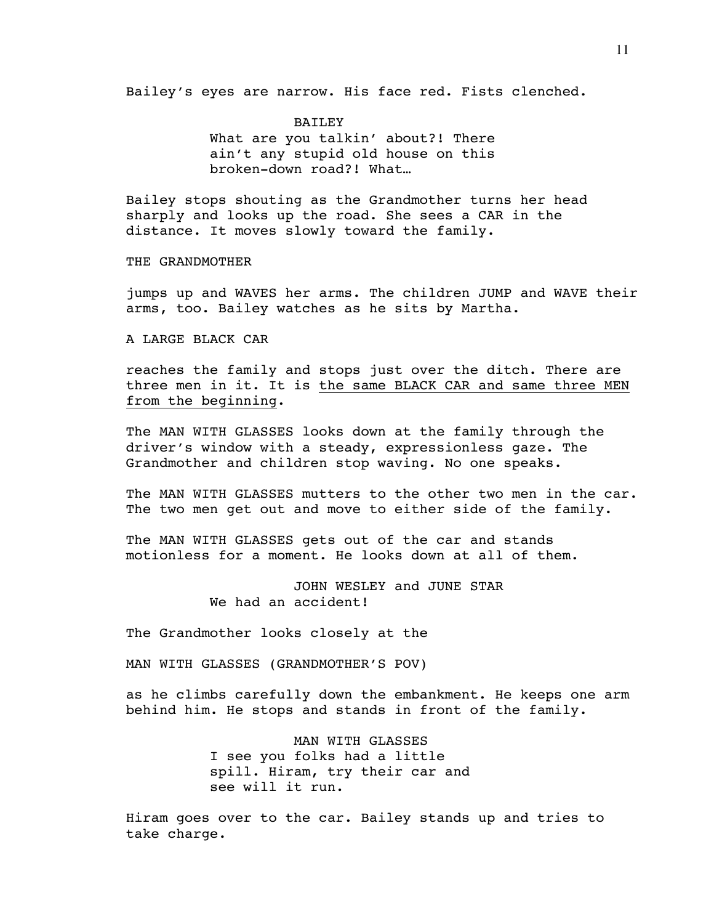Bailey's eyes are narrow. His face red. Fists clenched.

 BAILEY What are you talkin' about?! There ain't any stupid old house on this broken-down road?! What…

Bailey stops shouting as the Grandmother turns her head sharply and looks up the road. She sees a CAR in the distance. It moves slowly toward the family.

THE GRANDMOTHER

jumps up and WAVES her arms. The children JUMP and WAVE their arms, too. Bailey watches as he sits by Martha.

A LARGE BLACK CAR

reaches the family and stops just over the ditch. There are three men in it. It is the same BLACK CAR and same three MEN from the beginning.

The MAN WITH GLASSES looks down at the family through the driver's window with a steady, expressionless gaze. The Grandmother and children stop waving. No one speaks.

The MAN WITH GLASSES mutters to the other two men in the car. The two men get out and move to either side of the family.

The MAN WITH GLASSES gets out of the car and stands motionless for a moment. He looks down at all of them.

> JOHN WESLEY and JUNE STAR We had an accident!

The Grandmother looks closely at the

MAN WITH GLASSES (GRANDMOTHER'S POV)

as he climbs carefully down the embankment. He keeps one arm behind him. He stops and stands in front of the family.

> MAN WITH GLASSES I see you folks had a little spill. Hiram, try their car and see will it run.

Hiram goes over to the car. Bailey stands up and tries to take charge.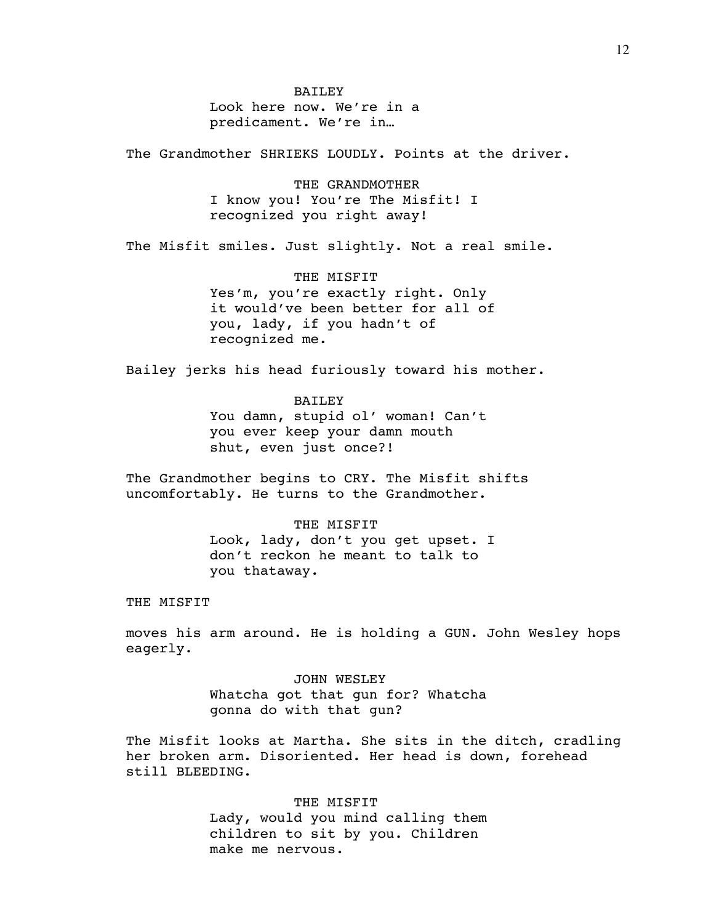BAILEY Look here now. We're in a predicament. We're in…

The Grandmother SHRIEKS LOUDLY. Points at the driver.

 THE GRANDMOTHER I know you! You're The Misfit! I recognized you right away!

The Misfit smiles. Just slightly. Not a real smile.

 THE MISFIT Yes'm, you're exactly right. Only it would've been better for all of you, lady, if you hadn't of recognized me.

Bailey jerks his head furiously toward his mother.

**BAILEY** 

You damn, stupid ol' woman! Can't you ever keep your damn mouth shut, even just once?!

The Grandmother begins to CRY. The Misfit shifts uncomfortably. He turns to the Grandmother.

> THE MISFIT Look, lady, don't you get upset. I don't reckon he meant to talk to you thataway.

THE MISFIT

moves his arm around. He is holding a GUN. John Wesley hops eagerly.

> JOHN WESLEY Whatcha got that gun for? Whatcha gonna do with that gun?

The Misfit looks at Martha. She sits in the ditch, cradling her broken arm. Disoriented. Her head is down, forehead still BLEEDING.

> THE MISFIT Lady, would you mind calling them children to sit by you. Children make me nervous.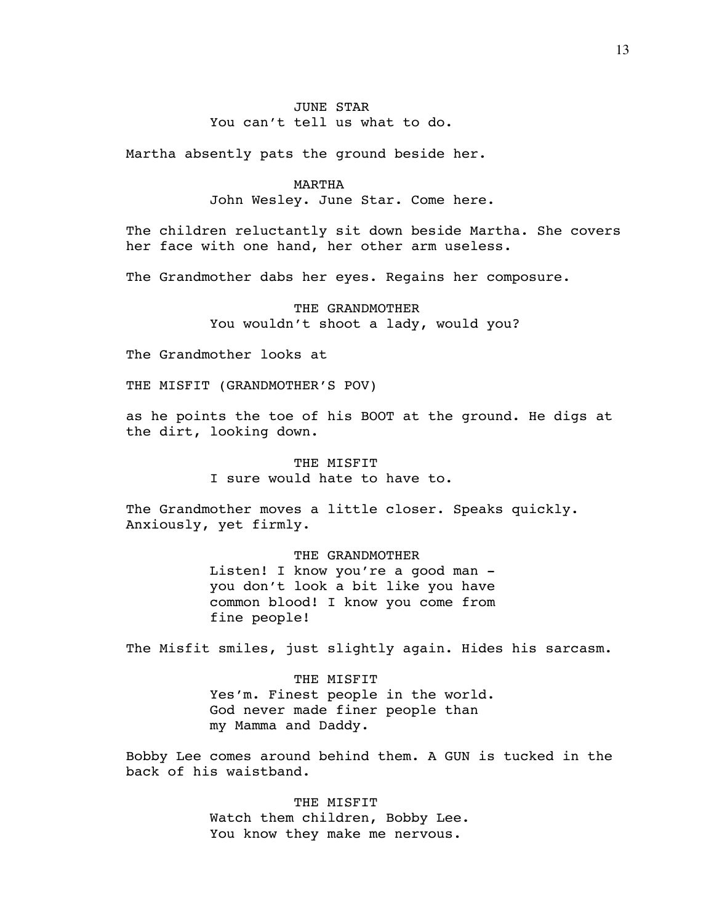# JUNE STAR You can't tell us what to do.

Martha absently pats the ground beside her.

#### MARTHA

John Wesley. June Star. Come here.

The children reluctantly sit down beside Martha. She covers her face with one hand, her other arm useless.

The Grandmother dabs her eyes. Regains her composure.

 THE GRANDMOTHER You wouldn't shoot a lady, would you?

The Grandmother looks at

THE MISFIT (GRANDMOTHER'S POV)

as he points the toe of his BOOT at the ground. He digs at the dirt, looking down.

> THE MISFIT I sure would hate to have to.

The Grandmother moves a little closer. Speaks quickly. Anxiously, yet firmly.

> THE GRANDMOTHER Listen! I know you're a good man you don't look a bit like you have common blood! I know you come from fine people!

The Misfit smiles, just slightly again. Hides his sarcasm.

 THE MISFIT Yes'm. Finest people in the world. God never made finer people than my Mamma and Daddy.

Bobby Lee comes around behind them. A GUN is tucked in the back of his waistband.

> THE MISFIT Watch them children, Bobby Lee. You know they make me nervous.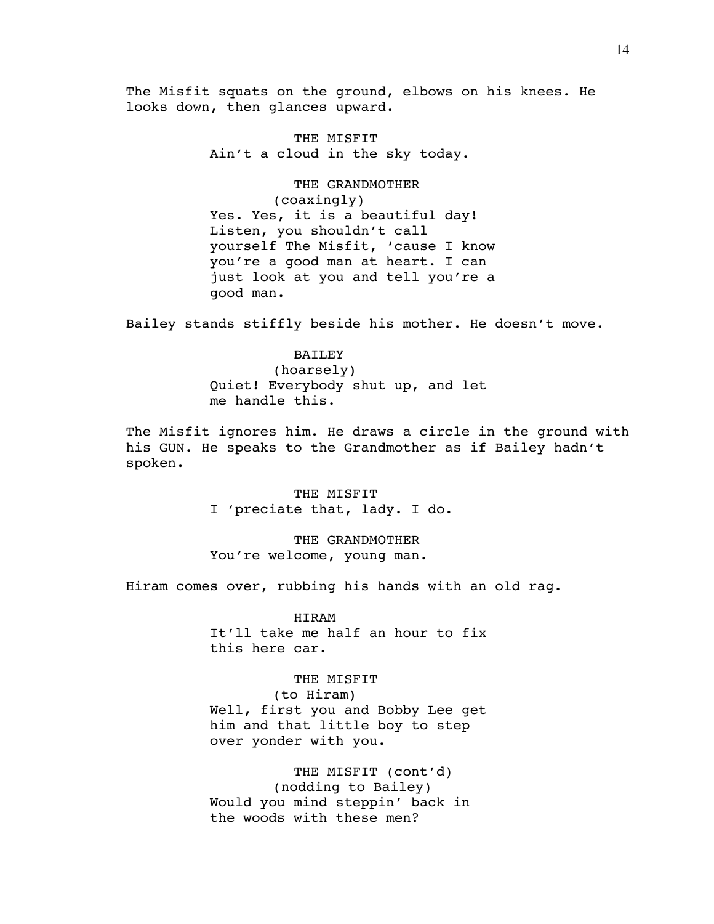The Misfit squats on the ground, elbows on his knees. He looks down, then glances upward.

> THE MISFIT Ain't a cloud in the sky today.

 THE GRANDMOTHER (coaxingly) Yes. Yes, it is a beautiful day! Listen, you shouldn't call yourself The Misfit, 'cause I know you're a good man at heart. I can just look at you and tell you're a good man.

Bailey stands stiffly beside his mother. He doesn't move.

## BAILEY

 (hoarsely) Quiet! Everybody shut up, and let me handle this.

The Misfit ignores him. He draws a circle in the ground with his GUN. He speaks to the Grandmother as if Bailey hadn't spoken.

> THE MISFIT I 'preciate that, lady. I do.

 THE GRANDMOTHER You're welcome, young man.

Hiram comes over, rubbing his hands with an old rag.

 HIRAM It'll take me half an hour to fix this here car.

#### THE MISFIT

 (to Hiram) Well, first you and Bobby Lee get him and that little boy to step over yonder with you.

 THE MISFIT (cont'd) (nodding to Bailey) Would you mind steppin' back in the woods with these men?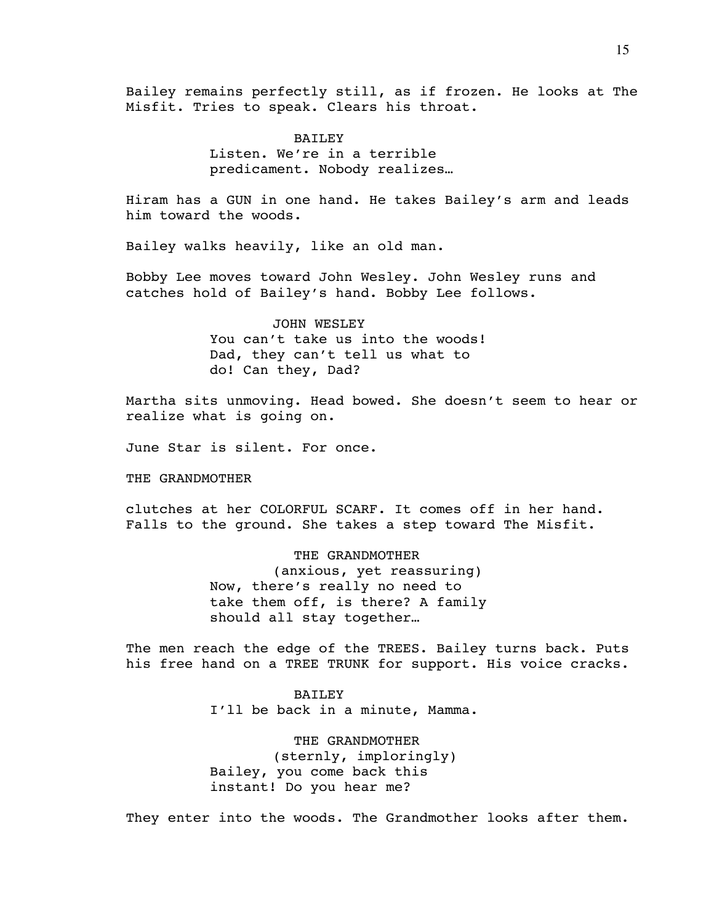Bailey remains perfectly still, as if frozen. He looks at The Misfit. Tries to speak. Clears his throat.

> **BAILEY** Listen. We're in a terrible predicament. Nobody realizes…

Hiram has a GUN in one hand. He takes Bailey's arm and leads him toward the woods.

Bailey walks heavily, like an old man.

Bobby Lee moves toward John Wesley. John Wesley runs and catches hold of Bailey's hand. Bobby Lee follows.

> JOHN WESLEY You can't take us into the woods! Dad, they can't tell us what to do! Can they, Dad?

Martha sits unmoving. Head bowed. She doesn't seem to hear or realize what is going on.

June Star is silent. For once.

THE GRANDMOTHER

clutches at her COLORFUL SCARF. It comes off in her hand. Falls to the ground. She takes a step toward The Misfit.

> THE GRANDMOTHER (anxious, yet reassuring) Now, there's really no need to take them off, is there? A family should all stay together…

The men reach the edge of the TREES. Bailey turns back. Puts his free hand on a TREE TRUNK for support. His voice cracks.

> BAILEY I'll be back in a minute, Mamma.

 THE GRANDMOTHER (sternly, imploringly) Bailey, you come back this instant! Do you hear me?

They enter into the woods. The Grandmother looks after them.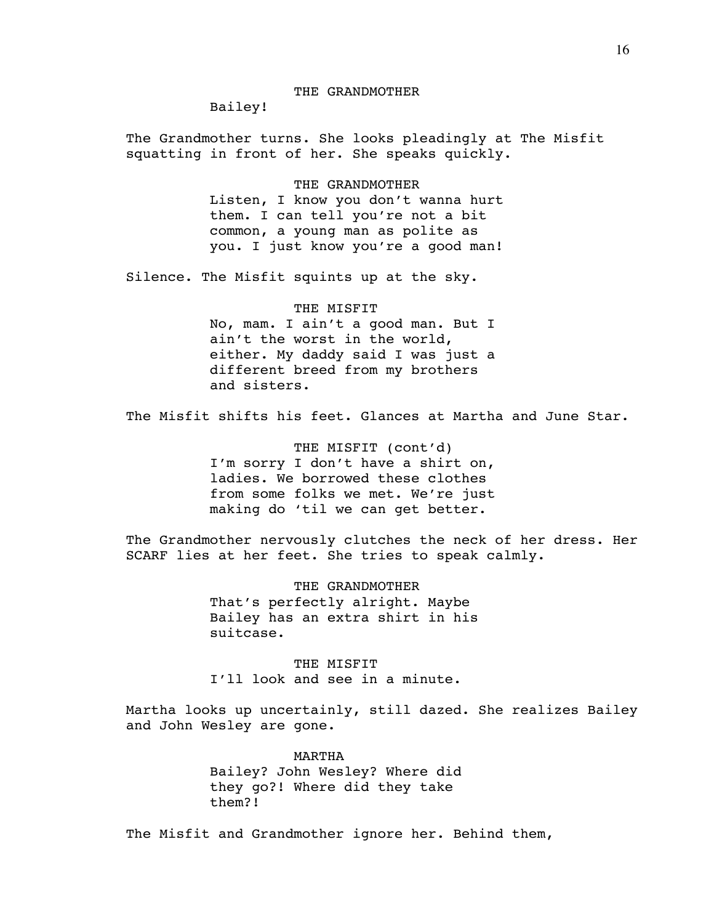Bailey!

The Grandmother turns. She looks pleadingly at The Misfit squatting in front of her. She speaks quickly.

> THE GRANDMOTHER Listen, I know you don't wanna hurt them. I can tell you're not a bit common, a young man as polite as you. I just know you're a good man!

Silence. The Misfit squints up at the sky.

# THE MISFIT No, mam. I ain't a good man. But I ain't the worst in the world, either. My daddy said I was just a different breed from my brothers and sisters.

The Misfit shifts his feet. Glances at Martha and June Star.

 THE MISFIT (cont'd) I'm sorry I don't have a shirt on, ladies. We borrowed these clothes from some folks we met. We're just making do 'til we can get better.

The Grandmother nervously clutches the neck of her dress. Her SCARF lies at her feet. She tries to speak calmly.

> THE GRANDMOTHER That's perfectly alright. Maybe Bailey has an extra shirt in his suitcase.

THE MISFIT I'll look and see in a minute.

Martha looks up uncertainly, still dazed. She realizes Bailey and John Wesley are gone.

> MARTHA Bailey? John Wesley? Where did they go?! Where did they take them?!

The Misfit and Grandmother ignore her. Behind them,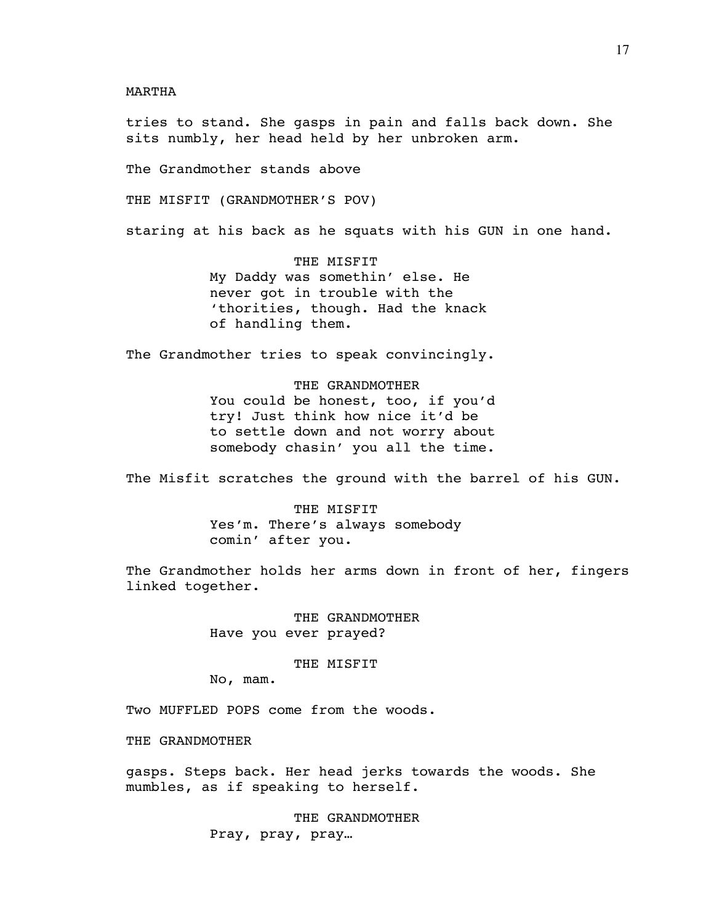MARTHA

tries to stand. She gasps in pain and falls back down. She sits numbly, her head held by her unbroken arm.

The Grandmother stands above

THE MISFIT (GRANDMOTHER'S POV)

staring at his back as he squats with his GUN in one hand.

 THE MISFIT My Daddy was somethin' else. He never got in trouble with the 'thorities, though. Had the knack of handling them.

The Grandmother tries to speak convincingly.

 THE GRANDMOTHER You could be honest, too, if you'd try! Just think how nice it'd be to settle down and not worry about somebody chasin' you all the time.

The Misfit scratches the ground with the barrel of his GUN.

 THE MISFIT Yes'm. There's always somebody comin' after you.

The Grandmother holds her arms down in front of her, fingers linked together.

> THE GRANDMOTHER Have you ever prayed?

# THE MISFIT

No, mam.

Two MUFFLED POPS come from the woods.

THE GRANDMOTHER

gasps. Steps back. Her head jerks towards the woods. She mumbles, as if speaking to herself.

> THE GRANDMOTHER Pray, pray, pray…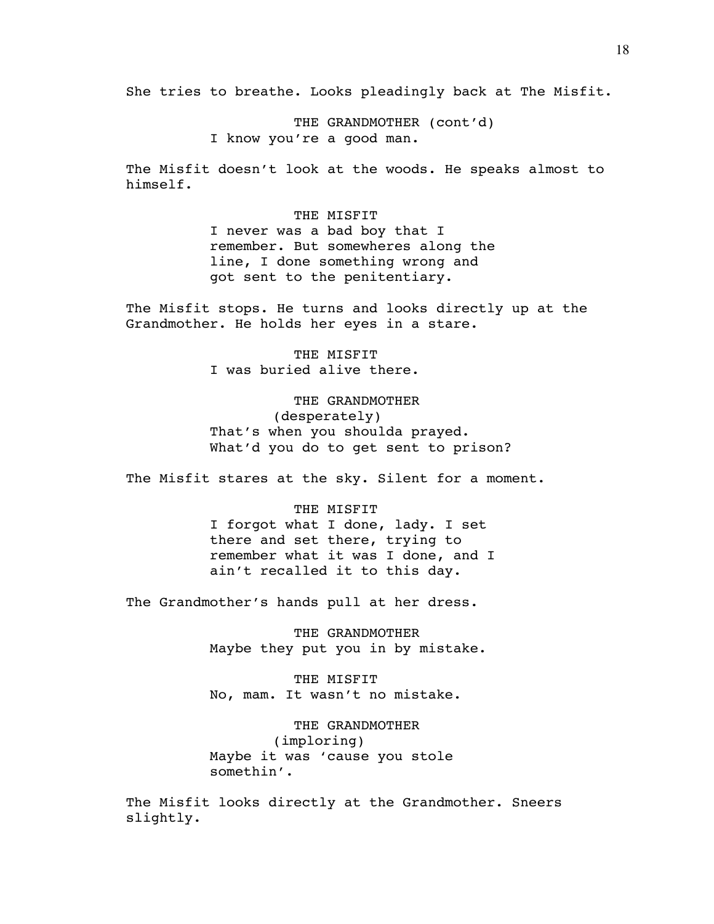She tries to breathe. Looks pleadingly back at The Misfit.

THE GRANDMOTHER (cont'd) I know you're a good man.

The Misfit doesn't look at the woods. He speaks almost to himself.

> THE MISFIT I never was a bad boy that I remember. But somewheres along the line, I done something wrong and got sent to the penitentiary.

The Misfit stops. He turns and looks directly up at the Grandmother. He holds her eyes in a stare.

> THE MISFIT I was buried alive there.

 THE GRANDMOTHER (desperately) That's when you shoulda prayed. What'd you do to get sent to prison?

The Misfit stares at the sky. Silent for a moment.

 THE MISFIT I forgot what I done, lady. I set there and set there, trying to remember what it was I done, and I ain't recalled it to this day.

The Grandmother's hands pull at her dress.

 THE GRANDMOTHER Maybe they put you in by mistake.

 THE MISFIT No, mam. It wasn't no mistake.

 THE GRANDMOTHER (imploring) Maybe it was 'cause you stole somethin'.

The Misfit looks directly at the Grandmother. Sneers slightly.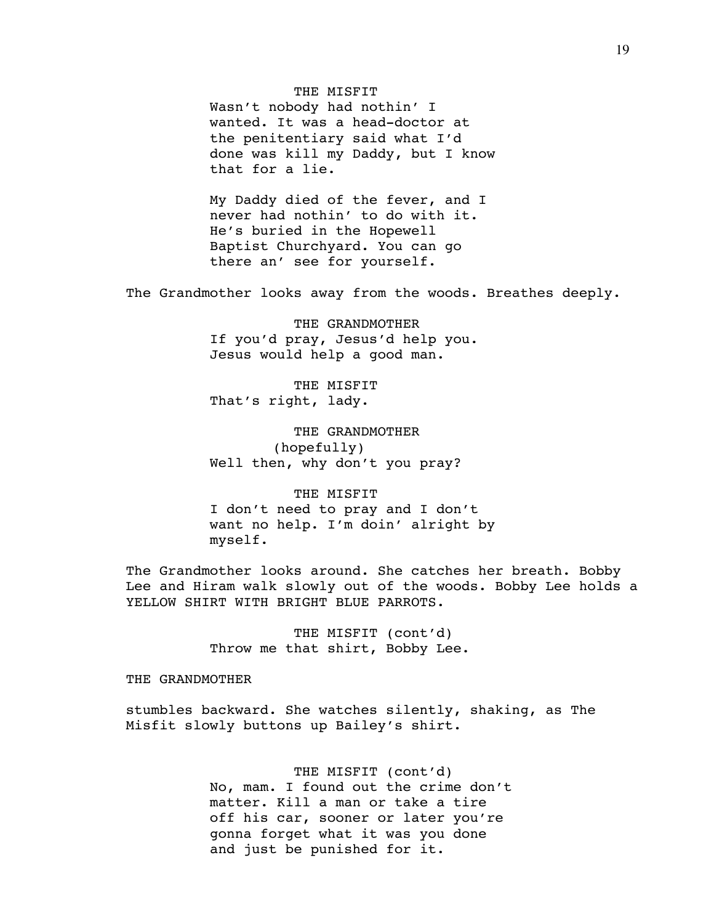THE MISFIT

Wasn't nobody had nothin' I wanted. It was a head-doctor at the penitentiary said what I'd done was kill my Daddy, but I know that for a lie.

My Daddy died of the fever, and I never had nothin' to do with it. He's buried in the Hopewell Baptist Churchyard. You can go there an' see for yourself.

The Grandmother looks away from the woods. Breathes deeply.

 THE GRANDMOTHER If you'd pray, Jesus'd help you. Jesus would help a good man.

 THE MISFIT That's right, lady.

 THE GRANDMOTHER (hopefully) Well then, why don't you pray?

 THE MISFIT I don't need to pray and I don't want no help. I'm doin' alright by myself.

The Grandmother looks around. She catches her breath. Bobby Lee and Hiram walk slowly out of the woods. Bobby Lee holds a YELLOW SHIRT WITH BRIGHT BLUE PARROTS.

> THE MISFIT (cont'd) Throw me that shirt, Bobby Lee.

## THE GRANDMOTHER

stumbles backward. She watches silently, shaking, as The Misfit slowly buttons up Bailey's shirt.

> THE MISFIT (cont'd) No, mam. I found out the crime don't matter. Kill a man or take a tire off his car, sooner or later you're gonna forget what it was you done and just be punished for it.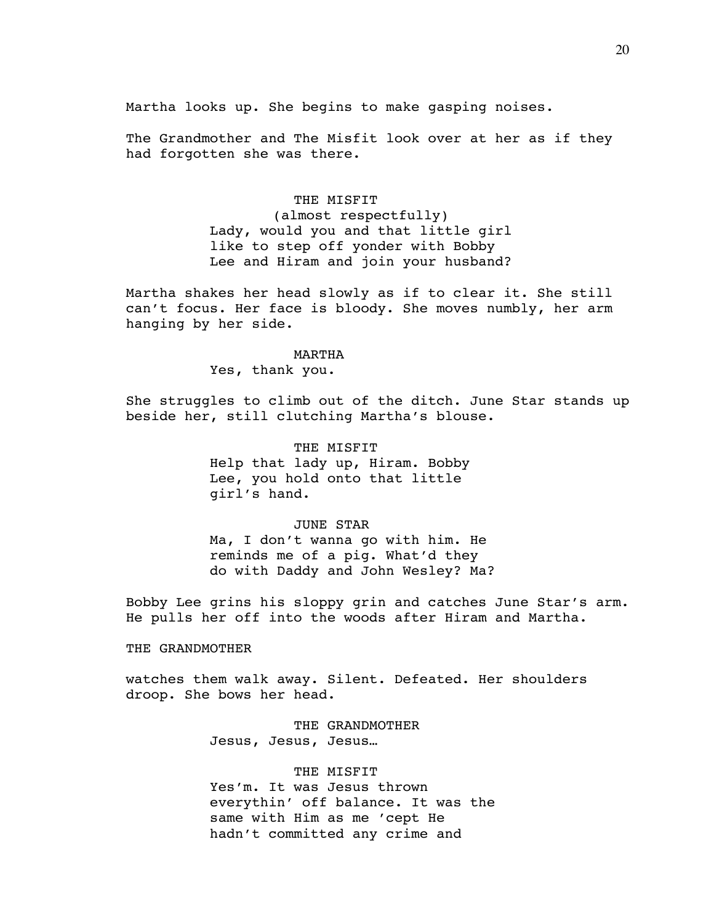Martha looks up. She begins to make gasping noises.

The Grandmother and The Misfit look over at her as if they had forgotten she was there.

> THE MISFIT (almost respectfully) Lady, would you and that little girl like to step off yonder with Bobby Lee and Hiram and join your husband?

Martha shakes her head slowly as if to clear it. She still can't focus. Her face is bloody. She moves numbly, her arm hanging by her side.

#### MARTHA

Yes, thank you.

She struggles to climb out of the ditch. June Star stands up beside her, still clutching Martha's blouse.

> THE MISFIT Help that lady up, Hiram. Bobby Lee, you hold onto that little girl's hand.

## JUNE STAR

Ma, I don't wanna go with him. He reminds me of a pig. What'd they do with Daddy and John Wesley? Ma?

Bobby Lee grins his sloppy grin and catches June Star's arm. He pulls her off into the woods after Hiram and Martha.

# THE GRANDMOTHER

watches them walk away. Silent. Defeated. Her shoulders droop. She bows her head.

> THE GRANDMOTHER Jesus, Jesus, Jesus…

#### THE MISFIT

Yes'm. It was Jesus thrown everythin' off balance. It was the same with Him as me 'cept He hadn't committed any crime and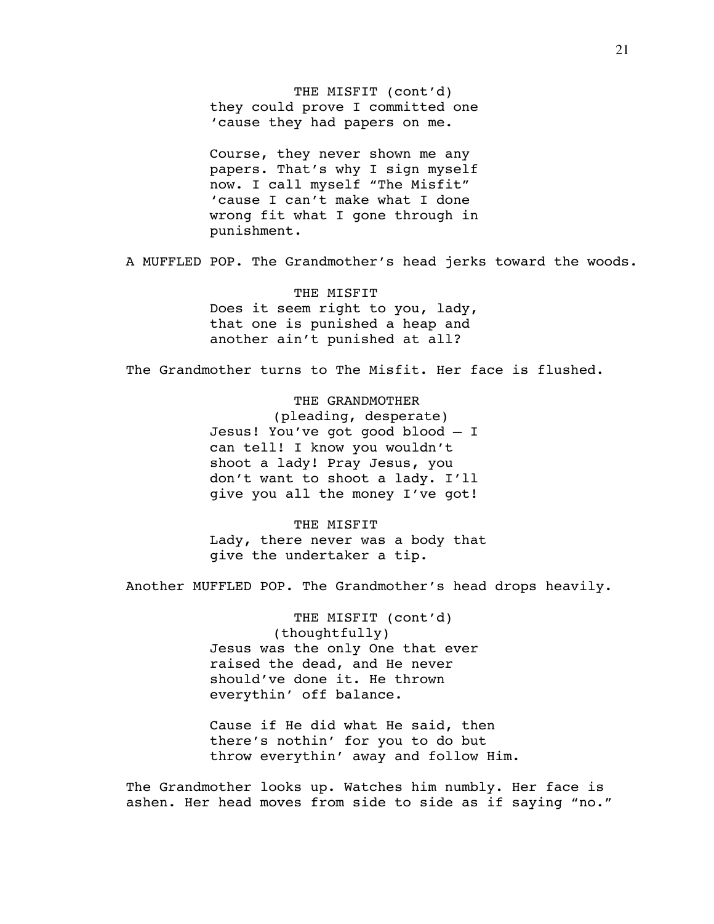THE MISFIT (cont'd) they could prove I committed one 'cause they had papers on me.

Course, they never shown me any papers. That's why I sign myself now. I call myself "The Misfit" 'cause I can't make what I done wrong fit what I gone through in punishment.

A MUFFLED POP. The Grandmother's head jerks toward the woods.

 THE MISFIT Does it seem right to you, lady, that one is punished a heap and another ain't punished at all?

The Grandmother turns to The Misfit. Her face is flushed.

 THE GRANDMOTHER (pleading, desperate) Jesus! You've got good blood – I can tell! I know you wouldn't shoot a lady! Pray Jesus, you don't want to shoot a lady. I'll give you all the money I've got!

 THE MISFIT Lady, there never was a body that give the undertaker a tip.

Another MUFFLED POP. The Grandmother's head drops heavily.

 THE MISFIT (cont'd) (thoughtfully) Jesus was the only One that ever raised the dead, and He never should've done it. He thrown everythin' off balance.

Cause if He did what He said, then there's nothin' for you to do but throw everythin' away and follow Him.

The Grandmother looks up. Watches him numbly. Her face is ashen. Her head moves from side to side as if saying "no."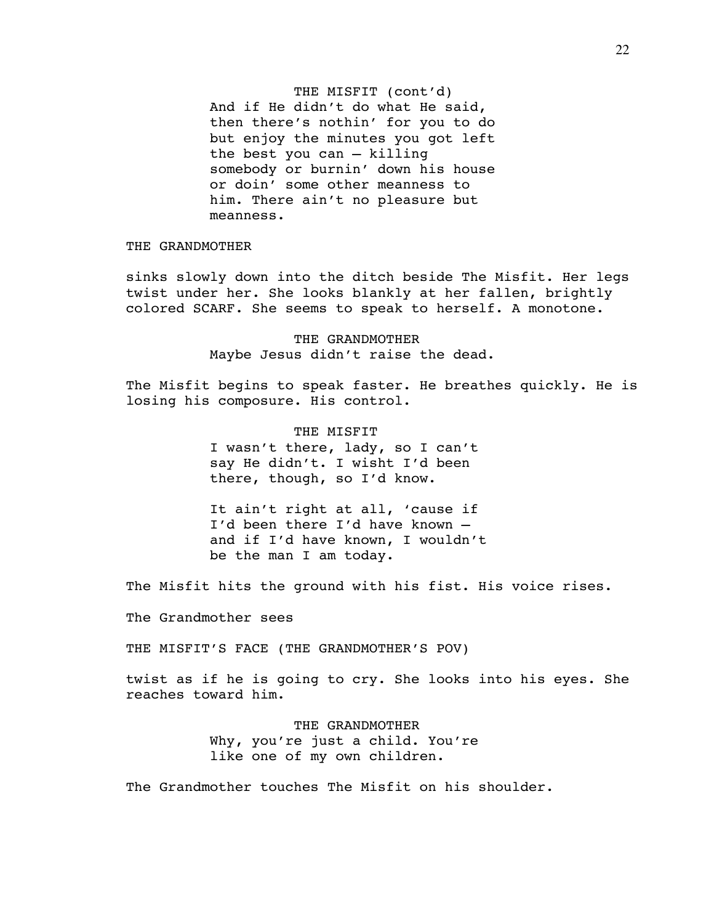THE MISFIT (cont'd) And if He didn't do what He said, then there's nothin' for you to do but enjoy the minutes you got left the best you can – killing somebody or burnin' down his house or doin' some other meanness to him. There ain't no pleasure but meanness.

THE GRANDMOTHER

sinks slowly down into the ditch beside The Misfit. Her legs twist under her. She looks blankly at her fallen, brightly colored SCARF. She seems to speak to herself. A monotone.

> THE GRANDMOTHER Maybe Jesus didn't raise the dead.

The Misfit begins to speak faster. He breathes quickly. He is losing his composure. His control.

> THE MISFIT I wasn't there, lady, so I can't say He didn't. I wisht I'd been there, though, so I'd know.

It ain't right at all, 'cause if I'd been there I'd have known – and if I'd have known, I wouldn't be the man I am today.

The Misfit hits the ground with his fist. His voice rises.

The Grandmother sees

THE MISFIT'S FACE (THE GRANDMOTHER'S POV)

twist as if he is going to cry. She looks into his eyes. She reaches toward him.

> THE GRANDMOTHER Why, you're just a child. You're like one of my own children.

The Grandmother touches The Misfit on his shoulder.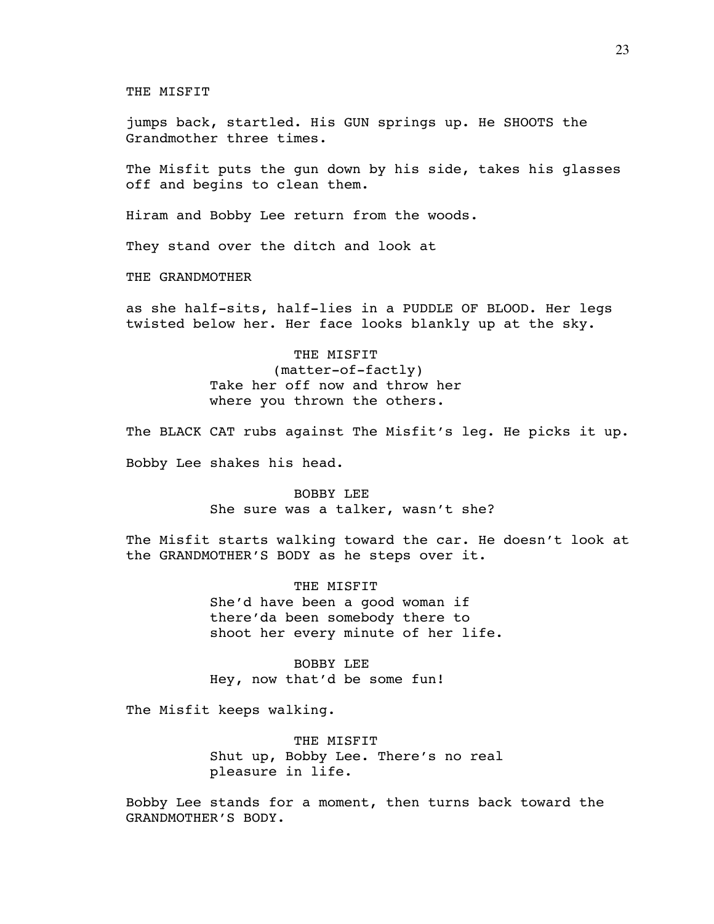THE MISFIT

jumps back, startled. His GUN springs up. He SHOOTS the Grandmother three times.

The Misfit puts the gun down by his side, takes his glasses off and begins to clean them.

Hiram and Bobby Lee return from the woods.

They stand over the ditch and look at

THE GRANDMOTHER

as she half-sits, half-lies in a PUDDLE OF BLOOD. Her legs twisted below her. Her face looks blankly up at the sky.

> THE MISFIT (matter-of-factly) Take her off now and throw her where you thrown the others.

The BLACK CAT rubs against The Misfit's leg. He picks it up.

Bobby Lee shakes his head.

 BOBBY LEE She sure was a talker, wasn't she?

The Misfit starts walking toward the car. He doesn't look at the GRANDMOTHER'S BODY as he steps over it.

> THE MISFIT She'd have been a good woman if there'da been somebody there to shoot her every minute of her life.

 BOBBY LEE Hey, now that'd be some fun!

The Misfit keeps walking.

 THE MISFIT Shut up, Bobby Lee. There's no real pleasure in life.

Bobby Lee stands for a moment, then turns back toward the GRANDMOTHER'S BODY.